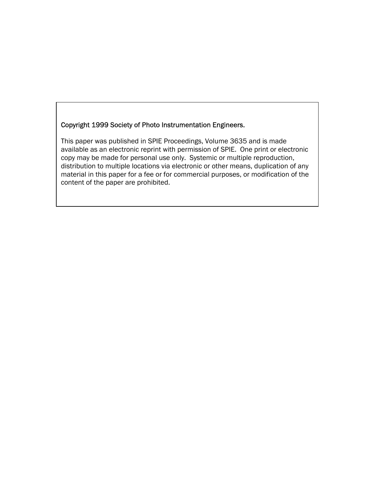## Copyright 1999 Society of Photo Instrumentation Engineers.

This paper was published in SPIE Proceedings, Volume 3635 and is made available as an electronic reprint with permission of SPIE. One print or electronic copy may be made for personal use only. Systemic or multiple reproduction, distribution to multiple locations via electronic or other means, duplication of any material in this paper for a fee or for commercial purposes, or modification of the content of the paper are prohibited.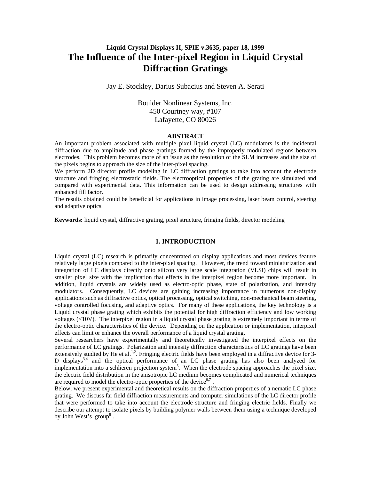# **Liquid Crystal Displays II, SPIE v.3635, paper 18, 1999 The Influence of the Inter-pixel Region in Liquid Crystal Diffraction Gratings**

Jay E. Stockley, Darius Subacius and Steven A. Serati

Boulder Nonlinear Systems, Inc. 450 Courtney way, #107 Lafayette, CO 80026

#### **ABSTRACT**

An important problem associated with multiple pixel liquid crystal (LC) modulators is the incidental diffraction due to amplitude and phase gratings formed by the improperly modulated regions between electrodes. This problem becomes more of an issue as the resolution of the SLM increases and the size of the pixels begins to approach the size of the inter-pixel spacing.

We perform 2D director profile modeling in LC diffraction gratings to take into account the electrode structure and fringing electrostatic fields. The electrooptical properties of the grating are simulated and compared with experimental data. This information can be used to design addressing structures with enhanced fill factor.

The results obtained could be beneficial for applications in image processing, laser beam control, steering and adaptive optics.

**Keywords:** liquid crystal, diffractive grating, pixel structure, fringing fields, director modeling

#### **1. INTRODUCTION**

Liquid crystal (LC) research is primarily concentrated on display applications and most devices feature relatively large pixels compared to the inter-pixel spacing. However, the trend toward miniaturization and integration of LC displays directly onto silicon very large scale integration (VLSI) chips will result in smaller pixel size with the implication that effects in the interpixel region become more important. In addition, liquid crystals are widely used as electro-optic phase, state of polarization, and intensity modulators. Consequently, LC devices are gaining increasing importance in numerous non-display applications such as diffractive optics, optical processing, optical switching, non-mechanical beam steering, voltage controlled focusing, and adaptive optics. For many of these applications, the key technology is a Liquid crystal phase grating which exhibits the potential for high diffraction efficiency and low working voltages (<10V). The interpixel region in a liquid crystal phase grating is extremely important in terms of the electro-optic characteristics of the device. Depending on the application or implementation, interpixel effects can limit or enhance the overall performance of a liquid crystal grating.

Several researchers have experimentally and theoretically investigated the interpixel effects on the performance of LC gratings. Polarization and intensity diffraction characteristics of LC gratings have been extensively studied by He et al.<sup>1,2</sup>. Fringing electric fields have been employed in a diffractive device for 3-D displays<sup>3,4</sup> and the optical performance of an LC phase grating has also been analyzed for implementation into a schlieren projection system<sup>5</sup>. When the electrode spacing approaches the pixel size, the electric field distribution in the anisotropic LC medium becomes complicated and numerical techniques are required to model the electro-optic properties of the device<sup>6,7</sup>.

Below, we present experimental and theoretical results on the diffraction properties of a nematic LC phase grating. We discuss far field diffraction measurements and computer simulations of the LC director profile that were performed to take into account the electrode structure and fringing electric fields. Finally we describe our attempt to isolate pixels by building polymer walls between them using a technique developed by John West's  $\gamma$  group<sup>8</sup>.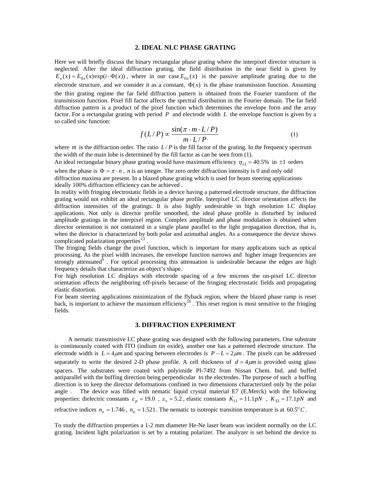#### **2. IDEAL NLC PHASE GRATING**

Here we will briefly discuss the binary rectangular phase grating where the interpixel director structure is neglected. After the ideal diffraction grating, the field distribution in the near field is given by  $E_x(x) = E_{0x}(x) \exp(i \cdot \Phi(x))$ , where in our case  $E_{0x}(x)$  is the passive amplitude grating due to the electrode structure, and we consider it as a constant,  $\Phi(x)$  is the phase transmission function. Assuming the thin grating regime the far field diffraction pattern is obtained from the Fourier transform of the transmission function. Pixel fill factor affects the spectral distribution in the Fourier domain. The far field diffraction pattern is a product of the pixel function which determines the envelope form and the array factor. For a rectangular grating with period *P* and electrode width *L* the envelope function is given by a so called *sinc* function:

$$
f(L/P) \propto \frac{\sin(\pi \cdot m \cdot L/P)}{m \cdot L/P}
$$
 (1)

where *m* is the diffraction order. The ratio  $L/P$  is the fill factor of the grating. In the frequency spectrum the width of the main lobe is determined by the fill factor as can be seen from (1).

An ideal rectangular binary phase grating would have maximum efficiency  $\eta_{+1} = 40.5\%$  in  $\pm 1$  orders when the phase is  $\Phi = \pi \cdot n$ , *n* is an integer. The zero order diffraction intensity is 0 and only odd diffraction maxima are present. In a blazed phase grating which is used for beam steering applications ideally 100% diffraction efficiency can be achieved .

In reality with fringing electrostatic fields in a device having a patterned electrode structure, the diffraction grating would not exhibit an ideal rectangular phase profile. Interpixel LC director orientation affects the diffraction intensities of the gratings. It is also highly undesirable in high resolution LC display applications. Not only is director profile smoothed, the ideal phase profile is disturbed by induced amplitude gratings in the interpixel region. Complex amplitude and phase modulation is obtained when director orientation is not contained in a single plane parallel to the light propagation direction, that is, when the director is characterized by both polar and azimuthal angles. As a consequence the device shows complicated polarization properties<sup>1,2</sup>.

The fringing fields change the pixel function, which is important for many applications such as optical processing. As the pixel width increases, the envelope function narrows and higher image frequencies are strongly attenuated $\delta$ . For optical processing this attenuation is undesirable because the edges are high frequency details that characterize an object's shape.

For high resolution LC displays with electrode spacing of a few microns the on-pixel LC director orientation affects the neighboring off-pixels because of the fringing electrostatic fields and propagating elastic distortion.

For beam steering applications minimization of the flyback region, where the blazed phase ramp is reset back, is important to achieve the maximum efficiency<sup>10</sup>. This reset region is most sensitive to the fringing fields.

#### **3. DIFFRACTION EXPERIMENT**

 A nematic transmissive LC phase grating was designed with the following parameters. One substrate is continuously coated with ITO (indium tin oxide), another one has a patterned electrode structure. The electrode width is  $L = 4 \mu m$  and spacing between electrodes is  $P - L = 2 \mu m$ . The pixels can be addressed separately to write the desired 2-D phase profile. A cell thickness of  $d = 4\mu m$  is provided using glass spacers. The substrates were coated with polyimide PI-7492 from Nissan Chem. Ind. and buffed antiparallel with the buffing direction being perpendicular to the electrodes. The purpose of such a buffing direction is to keep the director deformations confined in two dimensions characterized only by the polar angle . The device was filled with nematic liquid crystal material E7 (E.Merck) with the following properties: dielectric constants  $\varepsilon_p = 19.0$ ,  $\varepsilon_s = 5.2$ , elastic constants  $K_{11} = 11.1 pN$ ,  $K_{33} = 17.1 pN$  and

refractive indices  $n_e = 1.746$ ,  $n_o = 1.521$ . The nematic to isotropic transition temperature is at 60.5<sup>o</sup>C.

To study the diffraction properties a 1-2 mm diameter He-Ne laser beam was incident normally on the LC grating. Incident light polarization is set by a rotating polarizer. The analyzer is set behind the device to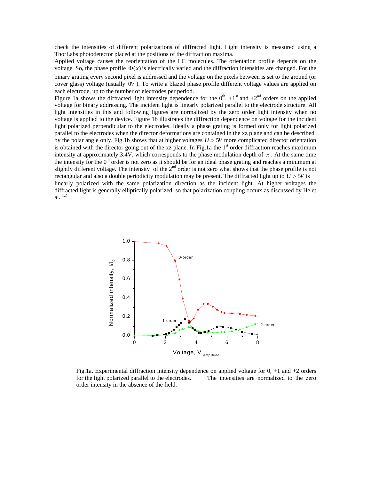check the intensities of different polarizations of diffracted light. Light intensity is measured using a ThorLabs photodetector placed at the positions of the diffraction maxima.

Applied voltage causes the reorientation of the LC molecules. The orientation profile depends on the voltage. So, the phase profile  $\Phi(x)$  is electrically varied and the diffraction intensities are changed. For the binary grating every second pixel is addressed and the voltage on the pixels between is set to the ground (or cover glass) voltage (usually 0*V* ). To write a blazed phase profile different voltage values are applied on each electrode, up to the number of electrodes per period.

Figure 1a shows the diffracted light intensity dependence for the  $0<sup>th</sup>$ ,  $+1<sup>st</sup>$  and  $+2<sup>nd</sup>$  orders on the applied voltage for binary addressing. The incident light is linearly polarized parallel to the electrode structure. All light intensities in this and following figures are normalized by the zero order light intensity when no voltage is applied to the device. Figure 1b illustrates the diffraction dependence on voltage for the incident light polarized perpendicular to the electrodes. Ideally a phase grating is formed only for light polarized parallel to the electrodes when the director deformations are contained in the xz plane and can be described by the polar angle only. Fig.1b shows that at higher voltages *U* > 5*V* more complicated director orientation is obtained with the director going out of the xz plane. In Fig.1a the 1<sup>st</sup> order diffraction reaches maximum intensity at approximately 3.4V, which corresponds to the phase modulation depth of  $\pi$ . At the same time the intensity for the  $0<sup>th</sup>$  order is not zero as it should be for an ideal phase grating and reaches a minimum at slightly different voltage. The intensity of the  $2<sup>nd</sup>$  order is not zero what shows that the phase profile is not rectangular and also a double periodicity modulation may be present. The diffracted light up to *U* > 5*V* is linearly polarized with the same polarization direction as the incident light. At higher voltages the diffracted light is generally elliptically polarized, so that polarization coupling occurs as discussed by He et al.  $^{1,2}$ .



Fig.1a. Experimental diffraction intensity dependence on applied voltage for  $0, +1$  and  $+2$  orders for the light polarized parallel to the electrodes. The intensities are normalized to the zero order intensity in the absence of the field.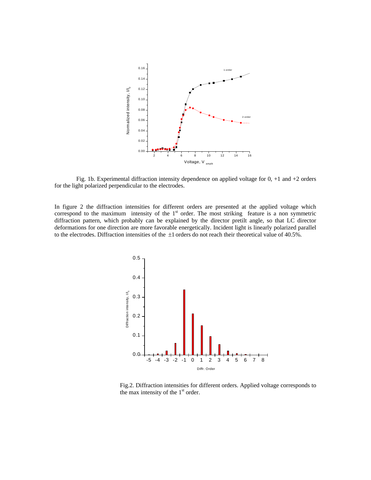

 Fig. 1b. Experimental diffraction intensity dependence on applied voltage for 0, +1 and +2 orders for the light polarized perpendicular to the electrodes.

In figure 2 the diffraction intensities for different orders are presented at the applied voltage which correspond to the maximum intensity of the  $1<sup>st</sup>$  order. The most striking feature is a non symmetric diffraction pattern, which probably can be explained by the director pretilt angle, so that LC director deformations for one direction are more favorable energetically. Incident light is linearly polarized parallel to the electrodes. Diffraction intensities of the  $\pm 1$  orders do not reach their theoretical value of 40.5%.



Fig.2. Diffraction intensities for different orders. Applied voltage corresponds to the max intensity of the  $1<sup>st</sup>$  order.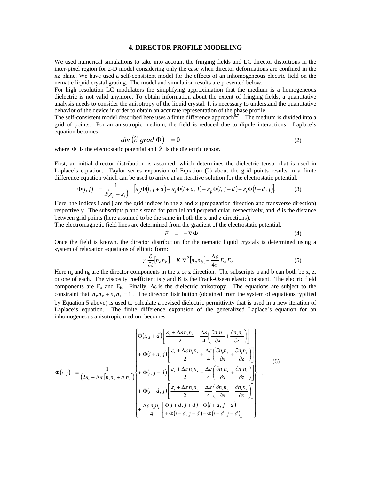#### **4. DIRECTOR PROFILE MODELING**

We used numerical simulations to take into account the fringing fields and LC director distortions in the inter-pixel region for 2-D model considering only the case when director deformations are confined in the xz plane. We have used a self-consistent model for the effects of an inhomogeneous electric field on the nematic liquid crystal grating. The model and simulation results are presented below.

For high resolution LC modulators the simplifying approximation that the medium is a homogeneous dielectric is not valid anymore. To obtain information about the extent of fringing fields, a quantitative analysis needs to consider the anisotropy of the liquid crystal. It is necessary to understand the quantitative behavior of the device in order to obtain an accurate representation of the phase profile.

The self-consistent model described here uses a finite difference approach  $\delta^7$ . The medium is divided into a grid of points. For an anisotropic medium, the field is reduced due to dipole interactions. Laplace's equation becomes

$$
div\left(\tilde{\varepsilon} \text{ grad } \Phi\right) = 0 \tag{2}
$$

where  $\Phi$  is the electrostatic potential and  $\tilde{\varepsilon}$  is the dielectric tensor.

First, an initial director distribution is assumed, which determines the dielectric tensor that is used in Laplace's equation. Taylor series expansion of Equation (2) about the grid points results in a finite difference equation which can be used to arrive at an iterative solution for the electrostatic potential.

$$
\Phi(i,j) = \frac{1}{2(\varepsilon_p + \varepsilon_s)} \left[ \varepsilon_p \Phi(i,j+d) + \varepsilon_s \Phi(i+d,j) + \varepsilon_p \Phi(i,j-d) + \varepsilon_s \Phi(i-d,j) \right]
$$
(3)

Here, the indices i and j are the grid indices in the z and x (propagation direction and transverse direction) respectively. The subscripts p and s stand for parallel and perpendicular, respectively, and *d* is the distance between grid points (here assumed to be the same in both the x and z directions).

The electromagnetic field lines are determined from the gradient of the electrostatic potential.

$$
\vec{E} = -\nabla \Phi \tag{4}
$$

Once the field is known, the director distribution for the nematic liquid crystals is determined using a system of relaxation equations of elliptic form:

$$
\gamma \frac{\partial}{\partial t} [n_a n_b] = K \nabla^2 [n_a n_b] + \frac{\Delta \varepsilon}{4\pi} E_a E_b \tag{5}
$$

Here  $n_a$  and  $n_b$  are the director components in the x or z direction. The subscripts a and b can both be x, z, or one of each. The viscosity coefficient is γ and K is the Frank-Oseen elastic constant. The electric field components are  $E_a$  and  $E_b$ . Finally,  $\Delta \varepsilon$  is the dielectric anisotropy. The equations are subject to the constraint that  $n_x n_x + n_z n_z = 1$ . The director distribution (obtained from the system of equations typified by Equation 5 above) is used to calculate a revised dielectric permittivity that is used in a new iteration of Laplace's equation. The finite difference expansion of the generalized Laplace's equation for an inhomogeneous anisotropic medium becomes

$$
\Phi(i,j) = \frac{1}{(2\varepsilon_s + \Delta\varepsilon [n_x n_x + n_z n_z])} \begin{pmatrix} \Phi(i,j+d) \left[ \frac{\varepsilon_s + \Delta\varepsilon n_x n_x}{2} + \frac{\Delta\varepsilon}{4} \left( \frac{\partial n_x n_x}{\partial x} + \frac{\partial n_x n_z}{\partial z} \right) \right] \\ + \Phi(i+d,j) \left[ \frac{\varepsilon_s + \Delta\varepsilon n_z n_z}{2} + \frac{\Delta\varepsilon}{4} \left( \frac{\partial n_x n_z}{\partial x} + \frac{\partial n_x n_z}{\partial z} \right) \right] \\ + \Phi(i,j-d) \left[ \frac{\varepsilon_s + \Delta\varepsilon n_x n_x}{2} - \frac{\Delta\varepsilon}{4} \left( \frac{\partial n_x n_x}{\partial x} + \frac{\partial n_x n_z}{\partial z} \right) \right] \\ + \Phi(i-d,j) \left[ \frac{\varepsilon_s + \Delta\varepsilon n_z n_z}{2} - \frac{\Delta\varepsilon}{4} \left( \frac{\partial n_x n_z}{\partial x} + \frac{\partial n_z n_z}{\partial z} \right) \right] \\ + \frac{\Delta\varepsilon n_x n_z}{4} \left[ \Phi(i+d,j+d) - \Phi(i+d,j-d) \right] \end{pmatrix}
$$
(6)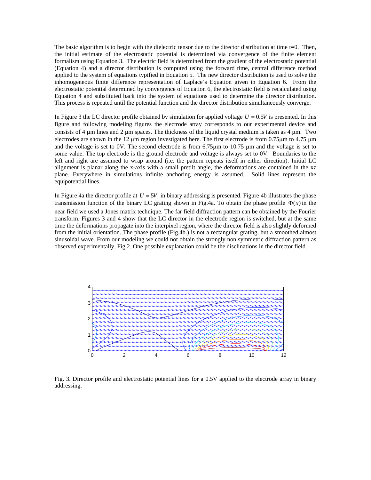The basic algorithm is to begin with the dielectric tensor due to the director distribution at time t=0. Then, the initial estimate of the electrostatic potential is determined via convergence of the finite element formalism using Equation 3. The electric field is determined from the gradient of the electrostatic potential (Equation 4) and a director distribution is computed using the forward time, central difference method applied to the system of equations typified in Equation 5. The new director distribution is used to solve the inhomogeneous finite difference representation of Laplace's Equation given in Equation 6. From the electrostatic potential determined by convergence of Equation 6, the electrostatic field is recalculated using Equation 4 and substituted back into the system of equations used to determine the director distribution. This process is repeated until the potential function and the director distribution simultaneously converge.

In Figure 3 the LC director profile obtained by simulation for applied voltage  $U = 0.5V$  is presented. In this figure and following modeling figures the electrode array corresponds to our experimental device and consists of 4  $\mu$ m lines and 2  $\mu$ m spaces. The thickness of the liquid crystal medium is taken as 4  $\mu$ m. Two electrodes are shown in the 12  $\mu$ m region investigated here. The first electrode is from 0.75 $\mu$ m to 4.75  $\mu$ m and the voltage is set to 0V. The second electrode is from 6.75 µm to 10.75 µm and the voltage is set to some value. The top electrode is the ground electrode and voltage is always set to 0V. Boundaries to the left and right are assumed to wrap around (i.e. the pattern repeats itself in either direction). Initial LC alignment is planar along the x-axis with a small pretilt angle, the deformations are contained in the xz plane. Everywhere in simulations infinite anchoring energy is assumed. Solid lines represent the equipotential lines.

In Figure 4a the director profile at  $U = 5V$  in binary addressing is presented. Figure 4b illustrates the phase transmission function of the binary LC grating shown in Fig.4a. To obtain the phase profile  $\Phi(x)$  in the near field we used a Jones matrix technique. The far field diffraction pattern can be obtained by the Fourier transform. Figures 3 and 4 show that the LC director in the electrode region is switched, but at the same time the deformations propagate into the interpixel region, where the director field is also slightly deformed from the initial orientation. The phase profile (Fig.4b.) is not a rectangular grating, but a smoothed almost sinusoidal wave. From our modeling we could not obtain the strongly non symmetric diffraction pattern as observed experimentally, Fig.2. One possible explanation could be the disclinations in the director field.



Fig. 3. Director profile and electrostatic potential lines for a 0.5V applied to the electrode array in binary addressing.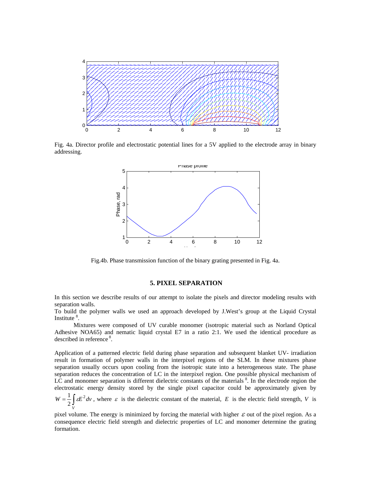

Fig. 4a. Director profile and electrostatic potential lines for a 5V applied to the electrode array in binary addressing.



Fig.4b. Phase transmission function of the binary grating presented in Fig. 4a.

## **5. PIXEL SEPARATION**

In this section we describe results of our attempt to isolate the pixels and director modeling results with separation walls.

To build the polymer walls we used an approach developed by J.West's group at the Liquid Crystal Institute<sup>8</sup>.

Mixtures were composed of UV curable monomer (isotropic material such as Norland Optical Adhesive NOA65) and nematic liquid crystal E7 in a ratio 2:1. We used the identical procedure as described in reference<sup>8</sup>.

Application of a patterned electric field during phase separation and subsequent blanket UV- irradiation result in formation of polymer walls in the interpixel regions of the SLM. In these mixtures phase separation usually occurs upon cooling from the isotropic state into a heterogeneous state. The phase separation reduces the concentration of LC in the interpixel region. One possible physical mechanism of LC and monomer separation is different dielectric constants of the materials  $\frac{8}{3}$ . In the electrode region the electrostatic energy density stored by the single pixel capacitor could be approximately given by

 $=\frac{1}{2}\int\limits_{V}$  $W = \frac{1}{2} \int \mathcal{E} E^2 dv$  $\frac{1}{\epsilon} \int \epsilon E^2 dv$ , where  $\epsilon$  is the dielectric constant of the material, E is the electric field strength, V is

pixel volume. The energy is minimized by forcing the material with higher  $\varepsilon$  out of the pixel region. As a consequence electric field strength and dielectric properties of LC and monomer determine the grating formation.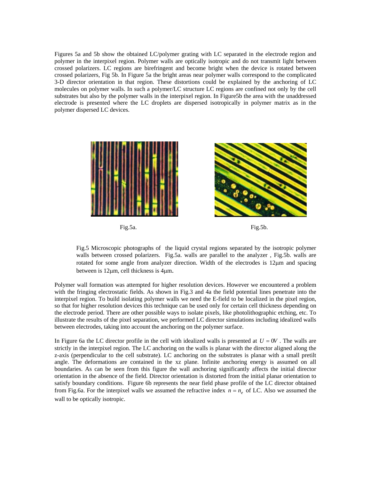Figures 5a and 5b show the obtained LC/polymer grating with LC separated in the electrode region and polymer in the interpixel region. Polymer walls are optically isotropic and do not transmit light between crossed polarizers. LC regions are birefringent and become bright when the device is rotated between crossed polarizers, Fig 5b. In Figure 5a the bright areas near polymer walls correspond to the complicated 3-D director orientation in that region. These distortions could be explained by the anchoring of LC molecules on polymer walls. In such a polymer/LC structure LC regions are confined not only by the cell substrates but also by the polymer walls in the interpixel region. In Figure5b the area with the unaddressed electrode is presented where the LC droplets are dispersed isotropically in polymer matrix as in the polymer dispersed LC devices.



Fig.5 Microscopic photographs of the liquid crystal regions separated by the isotropic polymer walls between crossed polarizers. Fig.5a. walls are parallel to the analyzer , Fig.5b. walls are rotated for some angle from analyzer direction. Width of the electrodes is  $12\mu m$  and spacing between is 12µm, cell thickness is 4µm.

Polymer wall formation was attempted for higher resolution devices. However we encountered a problem with the fringing electrostatic fields. As shown in Fig.3 and 4a the field potential lines penetrate into the interpixel region. To build isolating polymer walls we need the E-field to be localized in the pixel region, so that for higher resolution devices this technique can be used only for certain cell thickness depending on the electrode period. There are other possible ways to isolate pixels, like photolithographic etching, etc. To illustrate the results of the pixel separation, we performed LC director simulations including idealized walls between electrodes, taking into account the anchoring on the polymer surface.

In Figure 6a the LC director profile in the cell with idealized walls is presented at  $U = 0V$ . The walls are strictly in the interpixel region. The LC anchoring on the walls is planar with the director aligned along the z-axis (perpendicular to the cell substrate). LC anchoring on the substrates is planar with a small pretilt angle. The deformations are contained in the xz plane. Infinite anchoring energy is assumed on all boundaries. As can be seen from this figure the wall anchoring significantly affects the initial director orientation in the absence of the field. Director orientation is distorted from the initial planar orientation to satisfy boundary conditions. Figure 6b represents the near field phase profile of the LC director obtained from Fig.6a. For the interpixel walls we assumed the refractive index  $n = n_e$  of LC. Also we assumed the wall to be optically isotropic.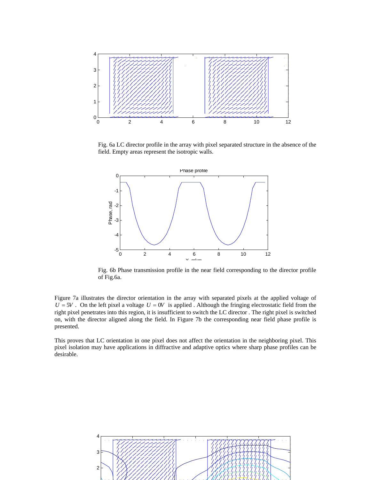

Fig. 6a LC director profile in the array with pixel separated structure in the absence of the field. Empty areas represent the isotropic walls.



Fig. 6b Phase transmission profile in the near field corresponding to the director profile of Fig.6a.

Figure 7a illustrates the director orientation in the array with separated pixels at the applied voltage of  $U = 5V$ . On the left pixel a voltage  $U = 0V$  is applied. Although the fringing electrostatic field from the right pixel penetrates into this region, it is insufficient to switch the LC director . The right pixel is switched on, with the director aligned along the field. In Figure 7b the corresponding near field phase profile is presented.

This proves that LC orientation in one pixel does not affect the orientation in the neighboring pixel. This pixel isolation may have applications in diffractive and adaptive optics where sharp phase profiles can be desirable.

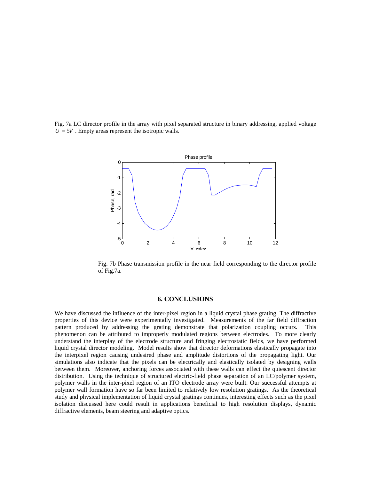Fig. 7a LC director profile in the array with pixel separated structure in binary addressing, applied voltage  $U = 5V$ . Empty areas represent the isotropic walls.



Fig. 7b Phase transmission profile in the near field corresponding to the director profile of Fig.7a.

#### **6. CONCLUSIONS**

We have discussed the influence of the inter-pixel region in a liquid crystal phase grating. The diffractive properties of this device were experimentally investigated. Measurements of the far field diffraction pattern produced by addressing the grating demonstrate that polarization coupling occurs. This phenomenon can be attributed to improperly modulated regions between electrodes. To more clearly understand the interplay of the electrode structure and fringing electrostatic fields, we have performed liquid crystal director modeling. Model results show that director deformations elastically propagate into the interpixel region causing undesired phase and amplitude distortions of the propagating light. Our simulations also indicate that the pixels can be electrically and elastically isolated by designing walls between them. Moreover, anchoring forces associated with these walls can effect the quiescent director distribution. Using the technique of structured electric-field phase separation of an LC/polymer system, polymer walls in the inter-pixel region of an ITO electrode array were built. Our successful attempts at polymer wall formation have so far been limited to relatively low resolution gratings. As the theoretical study and physical implementation of liquid crystal gratings continues, interesting effects such as the pixel isolation discussed here could result in applications beneficial to high resolution displays, dynamic diffractive elements, beam steering and adaptive optics.